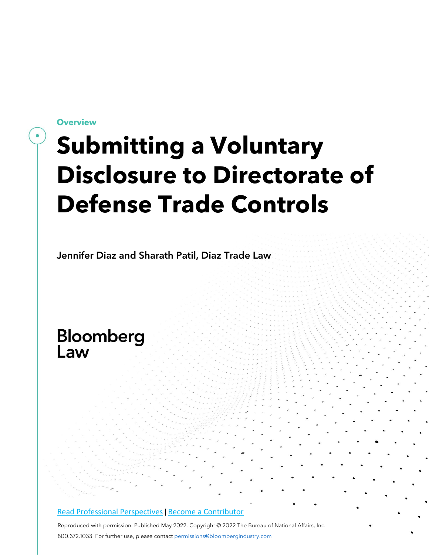**Overview**

# **Submitting a Voluntary Disclosure to Directorate of Defense Trade Controls**

Jennifer Diaz and Sharath Patil, Diaz Trade Law

# Bloomberg Law

## Read Professional [Perspectives](https://www.bloomberglaw.com/product/blaw/search/results/fce5c55b80fd6db95984633eb48fa7d5?utm_source=ACQ&utm_medium=PRP) | [B](https://www.bloomberglaw.com/product/blaw/search/results/fce5c55b80fd6db95984633eb48fa7d5?utm_source=ACQ&utm_medium=PRP)ecome a [Contributor](https://pro.bloomberglaw.com/become-a-contributor/?utm_source=ACQ&utm_medium=PRP)

Reproduced with permission. Published May 2022. Copyright © 2022 The Bureau of National Affairs, Inc. 800.372.1033. For further use, please contact [permissions@bloombergindustry.com](mailto:permissions@bloombergindustry.com)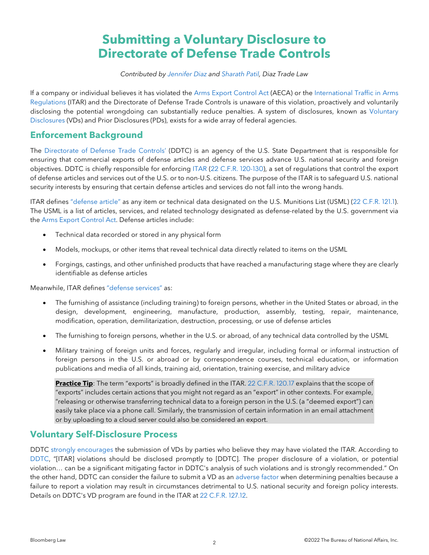# **Submitting a Voluntary Disclosure to Directorate of Defense Trade Controls**

#### *Contributed by [Jennifer](https://diaztradelaw.com/meet-the-team/attorneys/jennifer-diaz/) Diaz and [Sharath](https://diaztradelaw.com/meet-the-team/attorneys/sharath-patil/) Patil, Diaz Trade Law*

If a company or individual believes it has violated the Arms Export [Control](https://uscode.house.gov/view.xhtml?path=/prelim@title22/chapter39&edition=prelim) Act (AECA) or the [International](https://www.govinfo.gov/content/pkg/CFR-2016-title22-vol1/xml/CFR-2016-title22-vol1-chapI-subchapM.xml) Traffic in Arms [Regulations](https://www.govinfo.gov/content/pkg/CFR-2016-title22-vol1/xml/CFR-2016-title22-vol1-chapI-subchapM.xml) (ITAR) and the Directorate of Defense Trade Controls is unaware of this violation, proactively and voluntarily disclosing the potential wrongdoing can substantially reduce penalties. A system of disclosures, known as [Voluntary](https://diaztradelaw.com/category/bloomberg/bloomberg-vsd/) [Disclosures](https://diaztradelaw.com/category/bloomberg/bloomberg-vsd/) (VDs) and Prior Disclosures (PDs), exists for a wide array of federal agencies.

## **Enforcement Background**

The [Directorate](https://www.pmddtc.state.gov/ddtc_public?id=ddtc_public_portal_homepage) of Defense Trade Controls' (DDTC) is an agency of the U.S. State Department that is responsible for ensuring that commercial exports of defense articles and defense services advance U.S. national security and foreign objectives. DDTC is chiefly responsible for enforcing [ITAR](https://www.pmddtc.state.gov/ddtc_public?id=ddtc_public_portal_itar_landing#tab-itar) (22 C.F.R. [120-130\)](https://www.ecfr.gov/cgi-bin/text-idx?tpl=/ecfrbrowse/Title22/22cfr120_main_02.tpl), a set of regulations that control the export of defense articles and services out of the U.S. or to non-U.S. citizens. The purpose of the ITAR is to safeguard U.S. national security interests by ensuring that certain defense articles and services do not fall into the wrong hands.

ITAR defines ["defense](https://www.ecfr.gov/cgi-bin/text-idx?SID=e5bc466905a00a8c2d3474b9eb6a646e&mc=true&node=pt22.1.120&rgn=div5#se22.1.120_16) article" as any item or technical data designated on the U.S. Munitions List (USML) (22 [C.F.R.](https://www.ecfr.gov/cgi-bin/text-idx?SID=e5bc466905a00a8c2d3474b9eb6a646e&mc=true&node=pt22.1.121&rgn=div5) 121.1). The USML is a list of articles, services, and related technology designated as defense-related by the U.S. government via the Arms Export [Control](https://www.pmddtc.state.gov/ddtc_public?id=ddtc_kb_article_page&sys_id=b9a933addb7c930044f9ff621f961932) Act. Defense articles include:

- Technical data recorded or stored in any physical form
- Models, mockups, or other items that reveal technical data directly related to items on the USML
- Forgings, castings, and other unfinished products that have reached a manufacturing stage where they are clearly identifiable as defense articles

Meanwhile, ITAR defines ["defense](https://www.ecfr.gov/cgi-bin/text-idx?SID=e5bc466905a00a8c2d3474b9eb6a646e&mc=true&node=pt22.1.120&rgn=div5#se22.1.120_19) services" as:

- The furnishing of assistance (including training) to foreign persons, whether in the United States or abroad, in the design, development, engineering, manufacture, production, assembly, testing, repair, maintenance, modification, operation, demilitarization, destruction, processing, or use of defense articles
- The furnishing to foreign persons, whether in the U.S. or abroad, of any technical data controlled by the USML
- Military training of foreign units and forces, regularly and irregular, including formal or informal instruction of foreign persons in the U.S. or abroad or by correspondence courses, technical education, or information publications and media of all kinds, training aid, orientation, training exercise, and military advice

**Practice Tip**: The term "exports" is broadly defined in the ITAR. 22 [C.F.R.](https://www.ecfr.gov/cgi-bin/text-idx?SID=e5bc466905a00a8c2d3474b9eb6a646e&mc=true&node=pt22.1.120&rgn=div5#se22.1.120_117) 120.17 explains that the scope of "exports" includes certain actions that you might not regard as an "export" in other contexts. For example, "releasing or otherwise transferring technical data to a foreign person in the U.S. (a "deemed export") can easily take place via a phone call. Similarly, the transmission of certain information in an email attachment or by uploading to a cloud server could also be considered an export.

# **Voluntary Self-Disclosure Process**

DDTC strongly [encourages](https://www.ecfr.gov/current/title-22/chapter-I/subchapter-M/part-127) the submission of VDs by parties who believe they may have violated the ITAR. According to [DDTC,](https://www.pmddtc.state.gov/ddtc_public?id=ddtc_kb_article_page&sys_id=87ab2d67db4ddb00d0a370131f961997) "[ITAR] violations should be disclosed promptly to [DDTC]. The proper disclosure of a violation, or potential violation… can be a significant mitigating factor in DDTC's analysis of such violations and is strongly recommended." On the other hand, DDTC can consider the failure to submit a VD as an [adverse](https://www.ecfr.gov/cgi-bin/text-idx?SID=b9cec17207a6c5c674db849ecec4263b&mc=true&node=se22.1.127_112&rgn=div8) factor when determining penalties because a failure to report a violation may result in circumstances detrimental to U.S. national security and foreign policy interests. Details on DDTC's VD program are found in the ITAR at 22 C.F.R. [127.12.](https://www.ecfr.gov/cgi-bin/text-idx?SID=b9cec17207a6c5c674db849ecec4263b&mc=true&node=se22.1.127_112&rgn=div8)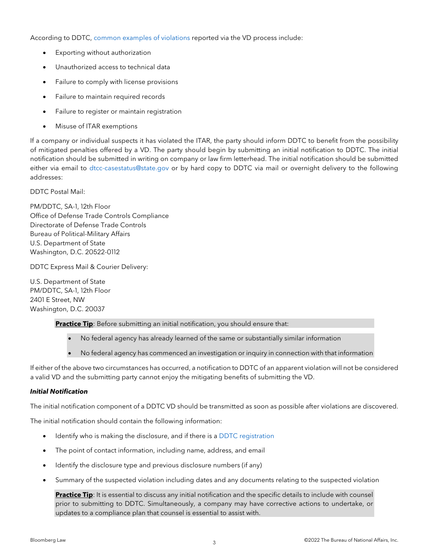According to DDTC, common [examples](https://www.pmddtc.state.gov/ddtc_public?id=ddtc_kb_article_page&sys_id=87ab2d67db4ddb00d0a370131f961997) of violations reported via the VD process include:

- Exporting without authorization
- Unauthorized access to technical data
- Failure to comply with license provisions
- Failure to maintain required records
- Failure to register or maintain registration
- Misuse of ITAR exemptions

If a company or individual suspects it has violated the ITAR, the party should inform DDTC to benefit from the possibility of mitigated penalties offered by a VD. The party should begin by submitting an initial notification to DDTC. The initial notification should be submitted in writing on company or law firm letterhead. The initial notification should be submitted either via email to [dtcc-casestatus@state.gov](mailto:dtcc-casestatus@state.gov) or by hard copy to DDTC via mail or overnight delivery to the following addresses:

DDTC Postal Mail:

PM/DDTC, SA-1, 12th Floor Office of Defense Trade Controls Compliance Directorate of Defense Trade Controls Bureau of Political-Military Affairs U.S. Department of State Washington, D.C. 20522-0112

DDTC Express Mail & Courier Delivery:

U.S. Department of State PM/DDTC, SA-1, 12th Floor 2401 E Street, NW Washington, D.C. 20037

**Practice Tip**: Before submitting an initial notification, you should ensure that:

- No federal agency has already learned of the same or substantially similar information
- No federal agency has commenced an investigation or inquiry in connection with that information

If either of the above two circumstances has occurred, a notification to DDTC of an apparent violation will not be considered a valid VD and the submitting party cannot enjoy the mitigating benefits of submitting the VD.

### *Initial Notification*

The initial notification component of a DDTC VD should be transmitted as soon as possible after violations are discovered.

The initial notification should contain the following information:

- Identify who is making the disclosure, and if there is a DDTC [registration](https://deccs.pmddtc.state.gov/deccs?id=ddtc_kb_article_page&sys_id=def5f542dbf8d30044f9ff621f961959)
- The point of contact information, including name, address, and email
- Identify the disclosure type and previous disclosure numbers (if any)
- Summary of the suspected violation including dates and any documents relating to the suspected violation

**Practice Tip**: It is essential to discuss any initial notification and the specific details to include with counsel prior to submitting to DDTC. Simultaneously, a company may have corrective actions to undertake, or updates to a compliance plan that counsel is essential to assist with.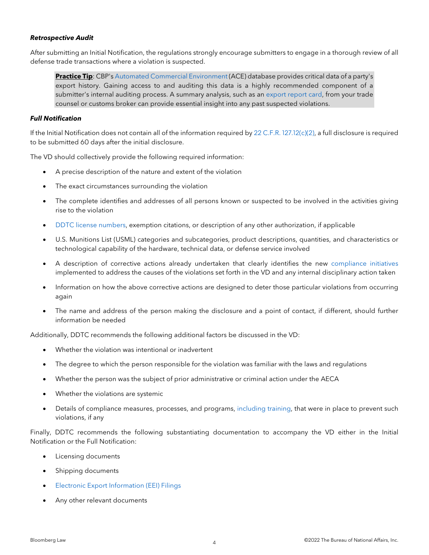#### *Retrospective Audit*

After submitting an Initial Notification, the regulations strongly encourage submitters to engage in a thorough review of all defense trade transactions where a violation is suspected.

**Practice Tip**: CBP's Automated Commercial [Environment](https://diaztradelaw.com/product/cbp-ace-auditing-your-export-history/) (ACE) database provides critical data of a party's export history. Gaining access to and auditing this data is a highly recommended component of a submitter's internal auditing process. A summary analysis, such as an [export](https://diaztradelaw.com/services/exporting/export-report-cards/) report card, from your trade counsel or customs broker can provide essential insight into any past suspected violations.

#### *Full Notification*

If the Initial Notification does not contain all of the information required by 22 C.F.R. [127.12\(c\)\(2\),](https://www.ecfr.gov/current/title-22/chapter-I/subchapter-M/part-127) a full disclosure is required to be submitted 60 days after the initial disclosure.

The VD should collectively provide the following required information:

- A precise description of the nature and extent of the violation
- The exact circumstances surrounding the violation
- The complete identifies and addresses of all persons known or suspected to be involved in the activities giving rise to the violation
- DDTC license [numbers,](https://www.pmddtc.state.gov/ddtc_public?id=ddtc_public_portal_faq_cat&topic=6acdbfe8db3bc30044f9ff621f96197e) exemption citations, or description of any other authorization, if applicable
- U.S. Munitions List (USML) categories and subcategories, product descriptions, quantities, and characteristics or technological capability of the hardware, technical data, or defense service involved
- A description of corrective actions already undertaken that clearly identifies the new [compliance](https://diaztradelaw.com/building-a-strong-export-compliance-plan/) initiatives implemented to address the causes of the violations set forth in the VD and any internal disciplinary action taken
- Information on how the above corrective actions are designed to deter those particular violations from occurring again
- The name and address of the person making the disclosure and a point of contact, if different, should further information be needed

Additionally, DDTC recommends the following additional factors be discussed in the VD:

- Whether the violation was intentional or inadvertent
- The degree to which the person responsible for the violation was familiar with the laws and regulations
- Whether the person was the subject of prior administrative or criminal action under the AECA
- Whether the violations are systemic
- Details of compliance measures, processes, and programs, [including](https://diaztradelaw.com/the-importance-of-regular-export-compliance-training-for-your-business/) training, that were in place to prevent such violations, if any

Finally, DDTC recommends the following substantiating documentation to accompany the VD either in the Initial Notification or the Full Notification:

- Licensing documents
- Shipping documents
- Electronic Export [Information](https://www.trade.gov/electronic-export-information-eei#:%7E:text=The%20Electronic%20Export%20Information%20(EEI,required%20to%20export%20the%20commodity.) (EEI) Filings
- Any other relevant documents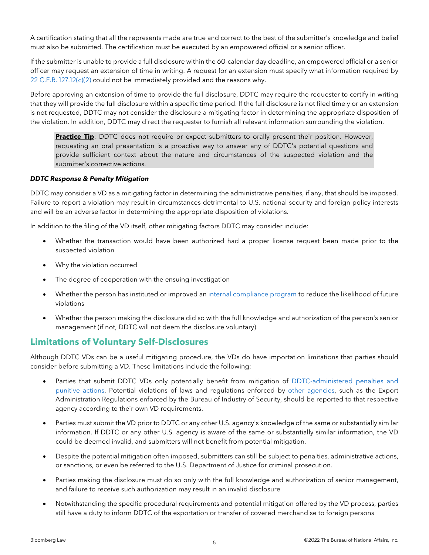A certification stating that all the represents made are true and correct to the best of the submitter's knowledge and belief must also be submitted. The certification must be executed by an empowered official or a senior officer.

If the submitter is unable to provide a full disclosure within the 60-calendar day deadline, an empowered official or a senior officer may request an extension of time in writing. A request for an extension must specify what information required by 22 C.F.R. [127.12\(c\)\(2\)](https://www.ecfr.gov/current/title-22/chapter-I/subchapter-M/part-127) could not be immediately provided and the reasons why.

Before approving an extension of time to provide the full disclosure, DDTC may require the requester to certify in writing that they will provide the full disclosure within a specific time period. If the full disclosure is not filed timely or an extension is not requested, DDTC may not consider the disclosure a mitigating factor in determining the appropriate disposition of the violation. In addition, DDTC may direct the requester to furnish all relevant information surrounding the violation.

**Practice Tip**: DDTC does not require or expect submitters to orally present their position. However, requesting an oral presentation is a proactive way to answer any of DDTC's potential questions and provide sufficient context about the nature and circumstances of the suspected violation and the submitter's corrective actions.

#### *DDTC Response & Penalty Mitigation*

DDTC may consider a VD as a mitigating factor in determining the administrative penalties, if any, that should be imposed. Failure to report a violation may result in circumstances detrimental to U.S. national security and foreign policy interests and will be an adverse factor in determining the appropriate disposition of violations.

In addition to the filing of the VD itself, other mitigating factors DDTC may consider include:

- Whether the transaction would have been authorized had a proper license request been made prior to the suspected violation
- Why the violation occurred
- The degree of cooperation with the ensuing investigation
- Whether the person has instituted or improved an internal [compliance](https://diaztradelaw.com/product/building-and-maintaining-an-effective-export-compliance-plan/) program to reduce the likelihood of future violations
- Whether the person making the disclosure did so with the full knowledge and authorization of the person's senior management (if not, DDTC will not deem the disclosure voluntary)

# **Limitations of Voluntary Self-Disclosures**

Although DDTC VDs can be a useful mitigating procedure, the VDs do have importation limitations that parties should consider before submitting a VD. These limitations include the following:

- Parties that submit DDTC VDs only potentially benefit from mitigation of [DDTC-administered](https://diaztradelaw.com/keysight-technologies-pays-6-6m-to-state-department-for-export-violations/) penalties and [punitive](https://diaztradelaw.com/keysight-technologies-pays-6-6m-to-state-department-for-export-violations/) actions. Potential violations of laws and regulations enforced by other [agencies,](https://diaztradelaw.com/dos-and-donts-of-filing-a-commodity-jurisdiction-request/) such as the Export Administration Regulations enforced by the Bureau of Industry of Security, should be reported to that respective agency according to their own VD requirements.
- Parties must submit the VD prior to DDTC or any other U.S. agency's knowledge of the same or substantially similar information. If DDTC or any other U.S. agency is aware of the same or substantially similar information, the VD could be deemed invalid, and submitters will not benefit from potential mitigation.
- Despite the potential mitigation often imposed, submitters can still be subject to penalties, administrative actions, or sanctions, or even be referred to the U.S. Department of Justice for criminal prosecution.
- Parties making the disclosure must do so only with the full knowledge and authorization of senior management, and failure to receive such authorization may result in an invalid disclosure
- Notwithstanding the specific procedural requirements and potential mitigation offered by the VD process, parties still have a duty to inform DDTC of the exportation or transfer of covered merchandise to foreign persons